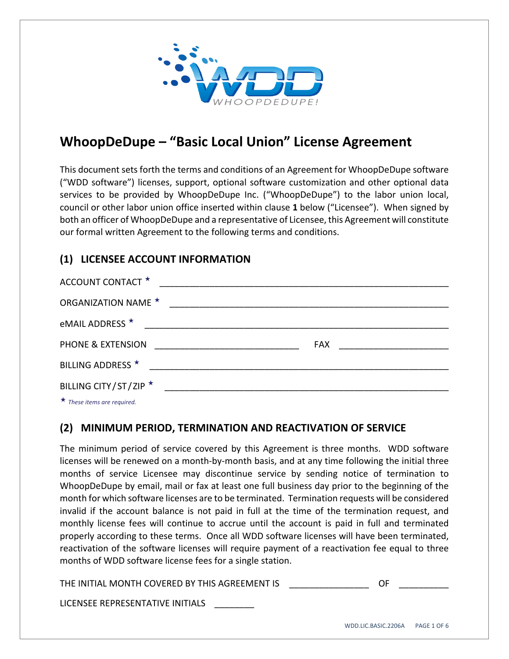

# **WhoopDeDupe – "Basic Local Union" License Agreement**

This document sets forth the terms and conditions of an Agreement for WhoopDeDupe software ("WDD software") licenses, support, optional software customization and other optional data services to be provided by WhoopDeDupe Inc. ("WhoopDeDupe") to the labor union local, council or other labor union office inserted within clause **1** below ("Licensee"). When signed by both an officer of WhoopDeDupe and a representative of Licensee, this Agreement will constitute our formal written Agreement to the following terms and conditions.

### **(1) LICENSEE ACCOUNT INFORMATION**

| ACCOUNT CONTACT *          |  |
|----------------------------|--|
| <b>ORGANIZATION NAME ★</b> |  |
| eMAIL ADDRESS <sup>★</sup> |  |
| PHONE & EXTENSION          |  |
| BILLING ADDRESS *          |  |
| BILLING CITY/ST/ZIP ★      |  |
|                            |  |

*These items are required.*

#### **(2) MINIMUM PERIOD, TERMINATION AND REACTIVATION OF SERVICE**

The minimum period of service covered by this Agreement is three months. WDD software licenses will be renewed on a month‐by‐month basis, and at any time following the initial three months of service Licensee may discontinue service by sending notice of termination to WhoopDeDupe by email, mail or fax at least one full business day prior to the beginning of the month for which software licenses are to be terminated. Termination requests will be considered invalid if the account balance is not paid in full at the time of the termination request, and monthly license fees will continue to accrue until the account is paid in full and terminated properly according to these terms. Once all WDD software licenses will have been terminated, reactivation of the software licenses will require payment of a reactivation fee equal to three months of WDD software license fees for a single station.

THE INITIAL MONTH COVERED BY THIS AGREEMENT IS **THE SAME IN** 

LICENSEE REPRESENTATIVE INITIALS \_\_\_\_\_\_\_\_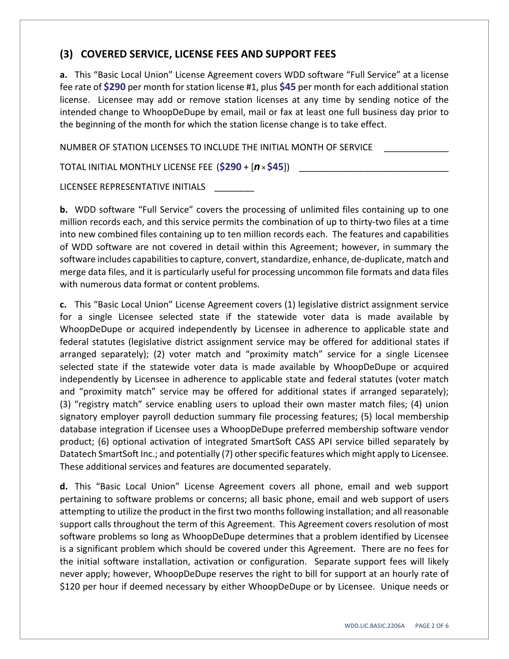### **(3) COVERED SERVICE, LICENSE FEES AND SUPPORT FEES**

**a.** This "Basic Local Union" License Agreement covers WDD software "Full Service" at a license fee rate of **\$290** per month for station license #1, plus **\$45** per month for each additional station license. Licensee may add or remove station licenses at any time by sending notice of the intended change to WhoopDeDupe by email, mail or fax at least one full business day prior to the beginning of the month for which the station license change is to take effect.

NUMBER OF STATION LICENSES TO INCLUDE THE INITIAL MONTH OF SERVICE

TOTAL INITIAL MONTHLY LICENSE FEE (\$290 + [*n* × \$45])

LICENSEE REPRESENTATIVE INITIALS

**b.** WDD software "Full Service" covers the processing of unlimited files containing up to one million records each, and this service permits the combination of up to thirty-two files at a time into new combined files containing up to ten million records each. The features and capabilities of WDD software are not covered in detail within this Agreement; however, in summary the software includes capabilities to capture, convert, standardize, enhance, de-duplicate, match and merge data files, and it is particularly useful for processing uncommon file formats and data files with numerous data format or content problems.

**c.** This "Basic Local Union" License Agreement covers (1) legislative district assignment service for a single Licensee selected state if the statewide voter data is made available by WhoopDeDupe or acquired independently by Licensee in adherence to applicable state and federal statutes (legislative district assignment service may be offered for additional states if arranged separately); (2) voter match and "proximity match" service for a single Licensee selected state if the statewide voter data is made available by WhoopDeDupe or acquired independently by Licensee in adherence to applicable state and federal statutes (voter match and "proximity match" service may be offered for additional states if arranged separately); (3) "registry match" service enabling users to upload their own master match files; (4) union signatory employer payroll deduction summary file processing features; (5) local membership database integration if Licensee uses a WhoopDeDupe preferred membership software vendor product; (6) optional activation of integrated SmartSoft CASS API service billed separately by Datatech SmartSoft Inc.; and potentially (7) other specific features which might apply to Licensee. These additional services and features are documented separately.

**d.** This "Basic Local Union" License Agreement covers all phone, email and web support pertaining to software problems or concerns; all basic phone, email and web support of users attempting to utilize the product in the first two monthsfollowing installation; and all reasonable support calls throughout the term of this Agreement. This Agreement covers resolution of most software problems so long as WhoopDeDupe determines that a problem identified by Licensee is a significant problem which should be covered under this Agreement. There are no fees for the initial software installation, activation or configuration. Separate support fees will likely never apply; however, WhoopDeDupe reserves the right to bill for support at an hourly rate of \$120 per hour if deemed necessary by either WhoopDeDupe or by Licensee. Unique needs or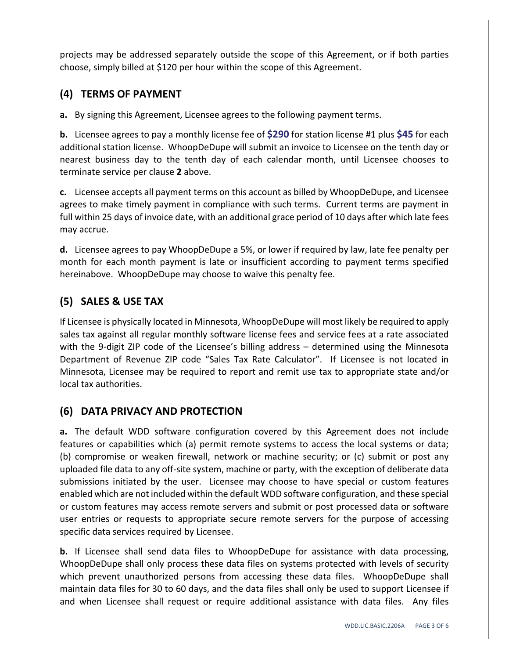projects may be addressed separately outside the scope of this Agreement, or if both parties choose, simply billed at \$120 per hour within the scope of this Agreement.

### **(4) TERMS OF PAYMENT**

**a.** By signing this Agreement, Licensee agrees to the following payment terms.

**b.** Licensee agrees to pay a monthly license fee of **\$290** for station license #1 plus **\$45** for each additional station license. WhoopDeDupe will submit an invoice to Licensee on the tenth day or nearest business day to the tenth day of each calendar month, until Licensee chooses to terminate service per clause **2** above.

**c.** Licensee accepts all payment terms on this account as billed by WhoopDeDupe, and Licensee agrees to make timely payment in compliance with such terms. Current terms are payment in full within 25 days of invoice date, with an additional grace period of 10 days after which late fees may accrue.

**d.** Licensee agrees to pay WhoopDeDupe a 5%, or lower if required by law, late fee penalty per month for each month payment is late or insufficient according to payment terms specified hereinabove. WhoopDeDupe may choose to waive this penalty fee.

# **(5) SALES & USE TAX**

If Licensee is physically located in Minnesota, WhoopDeDupe will most likely be required to apply sales tax against all regular monthly software license fees and service fees at a rate associated with the 9-digit ZIP code of the Licensee's billing address – determined using the Minnesota Department of Revenue ZIP code "Sales Tax Rate Calculator". If Licensee is not located in Minnesota, Licensee may be required to report and remit use tax to appropriate state and/or local tax authorities.

### **(6) DATA PRIVACY AND PROTECTION**

**a.** The default WDD software configuration covered by this Agreement does not include features or capabilities which (a) permit remote systems to access the local systems or data; (b) compromise or weaken firewall, network or machine security; or (c) submit or post any uploaded file data to any off‐site system, machine or party, with the exception of deliberate data submissions initiated by the user. Licensee may choose to have special or custom features enabled which are not included within the default WDD software configuration, and these special or custom features may access remote servers and submit or post processed data or software user entries or requests to appropriate secure remote servers for the purpose of accessing specific data services required by Licensee.

**b.** If Licensee shall send data files to WhoopDeDupe for assistance with data processing, WhoopDeDupe shall only process these data files on systems protected with levels of security which prevent unauthorized persons from accessing these data files. WhoopDeDupe shall maintain data files for 30 to 60 days, and the data files shall only be used to support Licensee if and when Licensee shall request or require additional assistance with data files. Any files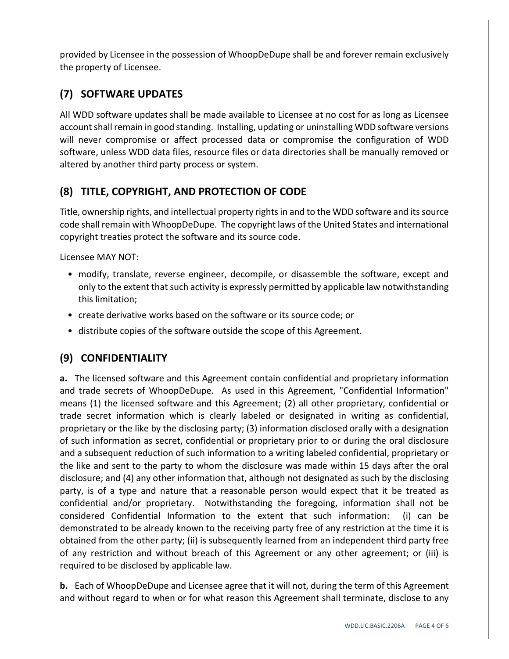provided by Licensee in the possession of WhoopDeDupe shall be and forever remain exclusively the property of Licensee.

# **(7) SOFTWARE UPDATES**

All WDD software updates shall be made available to Licensee at no cost for as long as Licensee account shall remain in good standing. Installing, updating or uninstalling WDD software versions will never compromise or affect processed data or compromise the configuration of WDD software, unless WDD data files, resource files or data directories shall be manually removed or altered by another third party process or system.

# **(8) TITLE, COPYRIGHT, AND PROTECTION OF CODE**

Title, ownership rights, and intellectual property rightsin and to the WDD software and itssource code shall remain with WhoopDeDupe. The copyright laws of the United States and international copyright treaties protect the software and its source code.

Licensee MAY NOT:

- modify, translate, reverse engineer, decompile, or disassemble the software, except and only to the extent that such activity is expressly permitted by applicable law notwithstanding this limitation;
- create derivative works based on the software or its source code; or
- distribute copies of the software outside the scope of this Agreement.

# **(9) CONFIDENTIALITY**

**a.** The licensed software and this Agreement contain confidential and proprietary information and trade secrets of WhoopDeDupe. As used in this Agreement, "Confidential Information" means (1) the licensed software and this Agreement; (2) all other proprietary, confidential or trade secret information which is clearly labeled or designated in writing as confidential, proprietary or the like by the disclosing party; (3) information disclosed orally with a designation of such information as secret, confidential or proprietary prior to or during the oral disclosure and a subsequent reduction of such information to a writing labeled confidential, proprietary or the like and sent to the party to whom the disclosure was made within 15 days after the oral disclosure; and (4) any other information that, although not designated as such by the disclosing party, is of a type and nature that a reasonable person would expect that it be treated as confidential and/or proprietary. Notwithstanding the foregoing, information shall not be considered Confidential Information to the extent that such information: (i) can be demonstrated to be already known to the receiving party free of any restriction at the time it is obtained from the other party; (ii) is subsequently learned from an independent third party free of any restriction and without breach of this Agreement or any other agreement; or (iii) is required to be disclosed by applicable law.

**b.** Each of WhoopDeDupe and Licensee agree that it will not, during the term of this Agreement and without regard to when or for what reason this Agreement shall terminate, disclose to any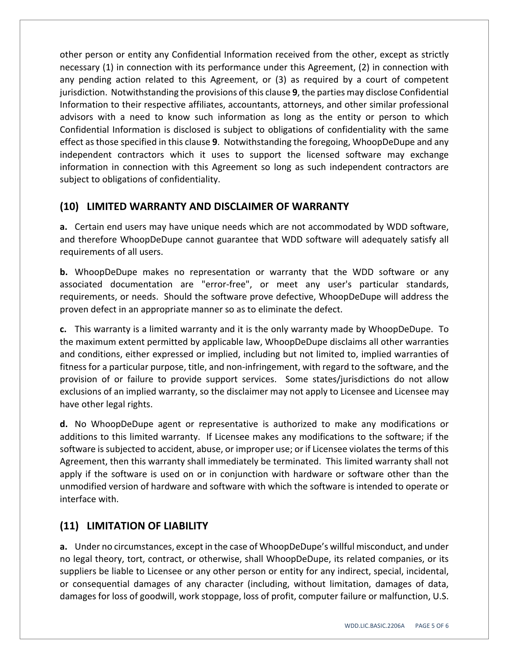other person or entity any Confidential Information received from the other, except as strictly necessary (1) in connection with its performance under this Agreement, (2) in connection with any pending action related to this Agreement, or (3) as required by a court of competent jurisdiction. Notwithstanding the provisions of this clause **9**, the parties may disclose Confidential Information to their respective affiliates, accountants, attorneys, and other similar professional advisors with a need to know such information as long as the entity or person to which Confidential Information is disclosed is subject to obligations of confidentiality with the same effect asthose specified in this clause **9**. Notwithstanding the foregoing, WhoopDeDupe and any independent contractors which it uses to support the licensed software may exchange information in connection with this Agreement so long as such independent contractors are subject to obligations of confidentiality.

#### **(10) LIMITED WARRANTY AND DISCLAIMER OF WARRANTY**

**a.** Certain end users may have unique needs which are not accommodated by WDD software, and therefore WhoopDeDupe cannot guarantee that WDD software will adequately satisfy all requirements of all users.

**b.** WhoopDeDupe makes no representation or warranty that the WDD software or any associated documentation are "error‐free", or meet any user's particular standards, requirements, or needs. Should the software prove defective, WhoopDeDupe will address the proven defect in an appropriate manner so as to eliminate the defect.

**c.** This warranty is a limited warranty and it is the only warranty made by WhoopDeDupe. To the maximum extent permitted by applicable law, WhoopDeDupe disclaims all other warranties and conditions, either expressed or implied, including but not limited to, implied warranties of fitness for a particular purpose, title, and non-infringement, with regard to the software, and the provision of or failure to provide support services. Some states/jurisdictions do not allow exclusions of an implied warranty, so the disclaimer may not apply to Licensee and Licensee may have other legal rights.

**d.** No WhoopDeDupe agent or representative is authorized to make any modifications or additions to this limited warranty. If Licensee makes any modifications to the software; if the software is subjected to accident, abuse, or improper use; or if Licensee violates the terms of this Agreement, then this warranty shall immediately be terminated. This limited warranty shall not apply if the software is used on or in conjunction with hardware or software other than the unmodified version of hardware and software with which the software is intended to operate or interface with.

### **(11) LIMITATION OF LIABILITY**

**a.** Under no circumstances, except in the case of WhoopDeDupe's willful misconduct, and under no legal theory, tort, contract, or otherwise, shall WhoopDeDupe, its related companies, or its suppliers be liable to Licensee or any other person or entity for any indirect, special, incidental, or consequential damages of any character (including, without limitation, damages of data, damages for loss of goodwill, work stoppage, loss of profit, computer failure or malfunction, U.S.